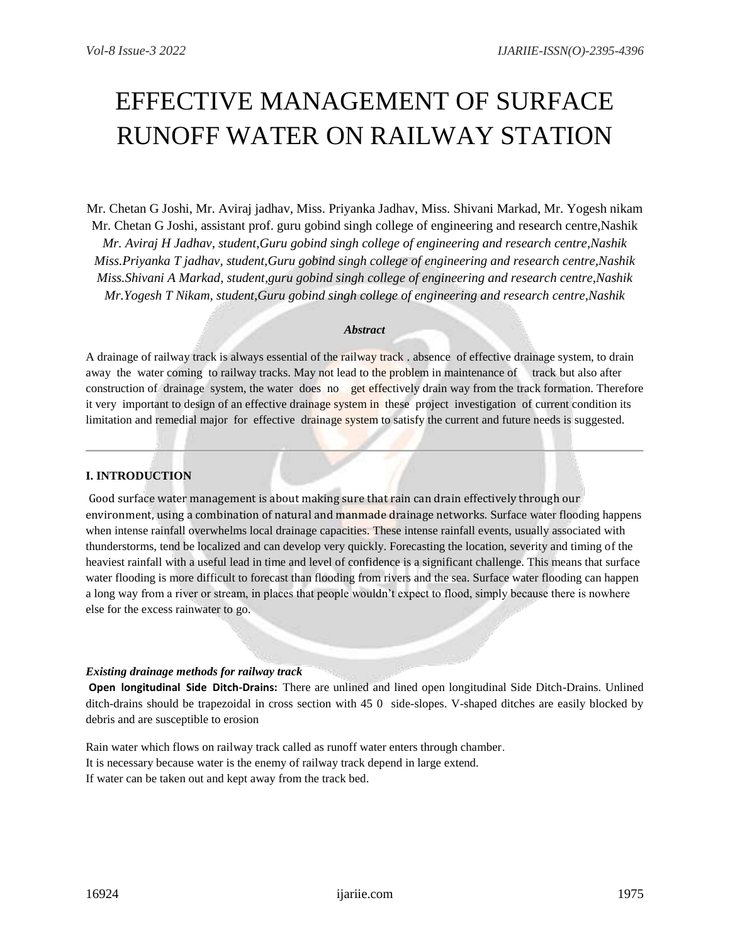# EFFECTIVE MANAGEMENT OF SURFACE RUNOFF WATER ON RAILWAY STATION

Mr. Chetan G Joshi, Mr. Aviraj jadhav, Miss. Priyanka Jadhav, Miss. Shivani Markad, Mr. Yogesh nikam Mr. Chetan G Joshi, assistant prof. guru gobind singh college of engineering and research centre,Nashik *Mr. Aviraj H Jadhav, student,Guru gobind singh college of engineering and research centre,Nashik Miss.Priyanka T jadhav, student,Guru gobind singh college of engineering and research centre,Nashik Miss.Shivani A Markad, student,guru gobind singh college of engineering and research centre,Nashik Mr.Yogesh T Nikam, student,Guru gobind singh college of engineering and research centre,Nashik*

#### *Abstract*

A drainage of railway track is always essential of the railway track . absence of effective drainage system, to drain away the water coming to railway tracks. May not lead to the problem in maintenance of track but also after construction of drainage system, the water does no get effectively drain way from the track formation. Therefore it very important to design of an effective drainage system in these project investigation of current condition its limitation and remedial major for effective drainage system to satisfy the current and future needs is suggested.

# **I. INTRODUCTION**

Good surface water management is about making sure that rain can drain effectively through our environment, using a combination of natural and manmade drainage networks. Surface water flooding happens when intense rainfall overwhelms local drainage capacities. These intense rainfall events, usually associated with thunderstorms, tend be localized and can develop very quickly. Forecasting the location, severity and timing of the heaviest rainfall with a useful lead in time and level of confidence is a significant challenge. This means that surface water flooding is more difficult to forecast than flooding from rivers and the sea. Surface water flooding can happen a long way from a river or stream, in places that people wouldn't expect to flood, simply because there is nowhere else for the excess rainwater to go.

#### *Existing drainage methods for railway track*

**Open longitudinal Side Ditch-Drains:** There are unlined and lined open longitudinal Side Ditch-Drains. Unlined ditch-drains should be trapezoidal in cross section with 45 0 side-slopes. V-shaped ditches are easily blocked by debris and are susceptible to erosion

Rain water which flows on railway track called as runoff water enters through chamber. It is necessary because water is the enemy of railway track depend in large extend. If water can be taken out and kept away from the track bed.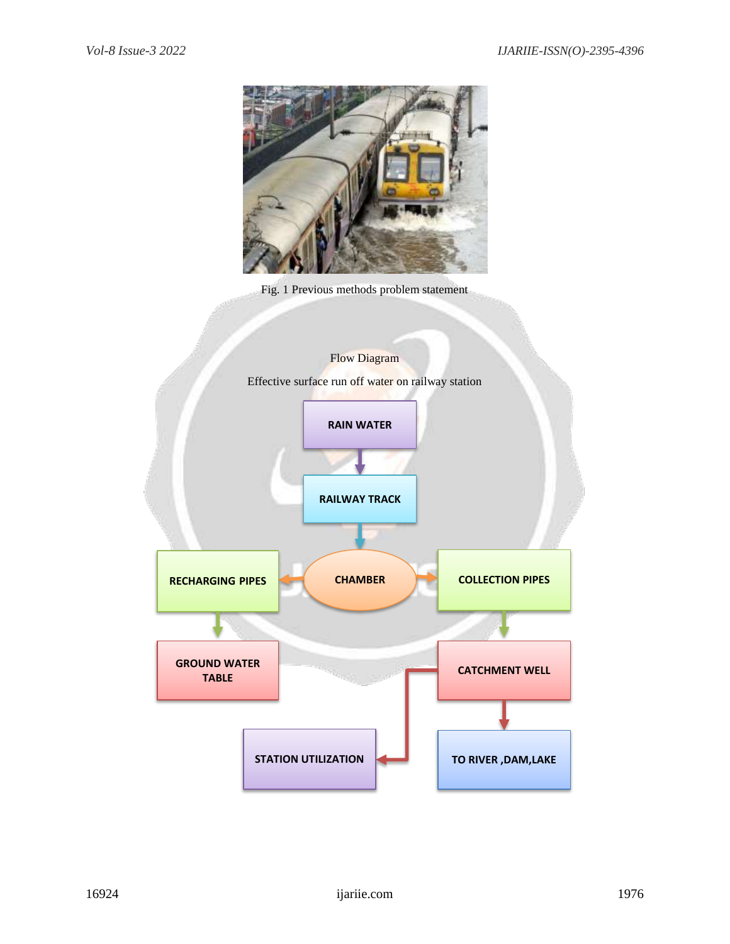

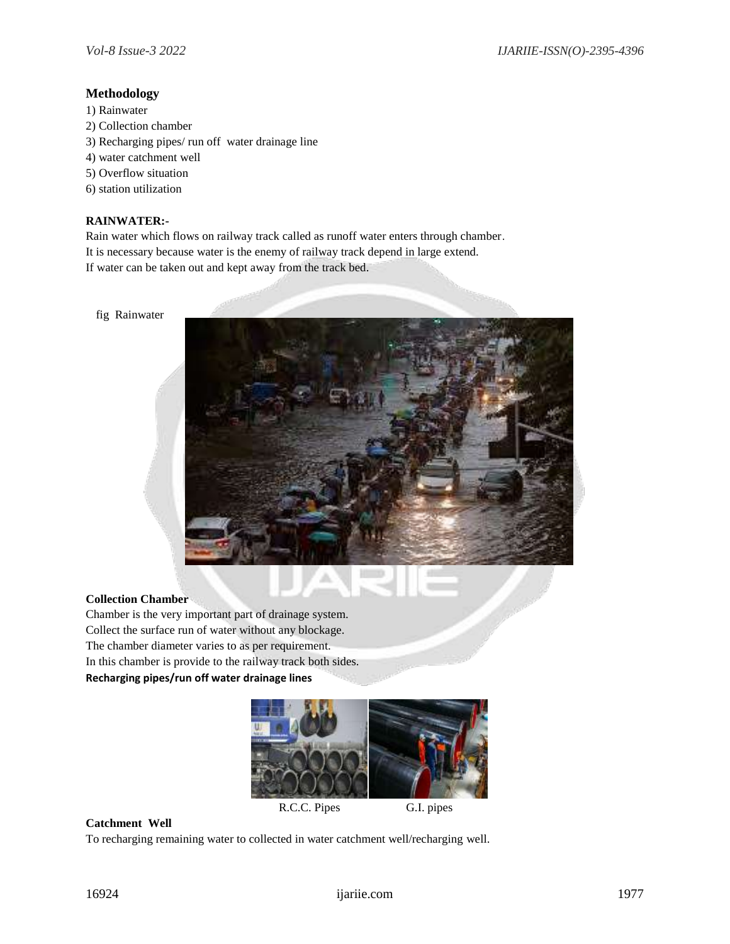## **Methodology**

1) Rainwater 2) Collection chamber 3) Recharging pipes/ run off water drainage line 4) water catchment well 5) Overflow situation 6) station utilization

## **RAINWATER:-**

Rain water which flows on railway track called as runoff water enters through chamber. It is necessary because water is the enemy of railway track depend in large extend. If water can be taken out and kept away from the track bed.





## **Collection Chamber**

Chamber is the very important part of drainage system. Collect the surface run of water without any blockage. The chamber diameter varies to as per requirement. In this chamber is provide to the railway track both sides. **Recharging pipes/run off water drainage lines**



R.C.C. Pipes G.I. pipes

# **Catchment Well**

To recharging remaining water to collected in water catchment well/recharging well.